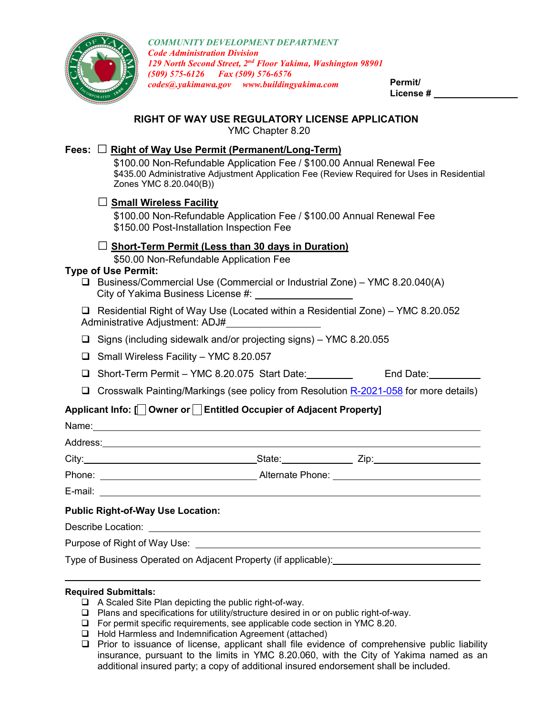

*COMMUNITY DEVELOPMENT DEPARTMENT Code Administration Division 129 North Second Street, 2nd Floor Yakima, Washington 98901 (509) 575-6126 Fax (509) 576-6576 codes@.yakimawa.gov www.buildingyakima.com* **Permit/**

**License #**

## **RIGHT OF WAY USE REGULATORY LICENSE APPLICATION**

YMC Chapter 8.20

## **Fees:** □ **Right of Way Use Permit (Permanent/Long-Term)**

\$100.00 Non-Refundable Application Fee / \$100.00 Annual Renewal Fee \$435.00 Administrative Adjustment Application Fee (Review Required for Uses in Residential Zones YMC 8.20.040(B))

## **□ Small Wireless Facility**

\$100.00 Non-Refundable Application Fee / \$100.00 Annual Renewal Fee \$150.00 Post-Installation Inspection Fee

## **□ Short-Term Permit (Less than 30 days in Duration)**

\$50.00 Non-Refundable Application Fee

## **Type of Use Permit:**

 Business/Commercial Use (Commercial or Industrial Zone) – YMC 8.20.040(A) City of Yakima Business License #:

 Residential Right of Way Use (Located within a Residential Zone) – YMC 8.20.052 Administrative Adjustment: ADJ#

 $\Box$  Signs (including sidewalk and/or projecting signs) – YMC 8.20.055

- $\Box$  Small Wireless Facility YMC 8.20.057
- □ Short-Term Permit YMC 8.20.075 Start Date: End Date:
- □ Crosswalk Painting/Markings (see policy from Resolution [R-2021-058](https://apps.yakimawa.gov/WebLink/DocView.aspx?id=514333&dbid=0&repo=CityOfYakima) for more details)

# **Applicant Info: [ Owner or Entitled Occupier of Adjacent Property]**

|                                                        |  | _State:___________________ Zip:_________________________ |  |
|--------------------------------------------------------|--|----------------------------------------------------------|--|
|                                                        |  |                                                          |  |
|                                                        |  |                                                          |  |
| <b>Public Right-of-Way Use Location:</b>               |  |                                                          |  |
| Describe Location: ___________________________________ |  |                                                          |  |
|                                                        |  |                                                          |  |

Type of Business Operated on Adjacent Property (if applicable):

#### **Required Submittals:**

- A Scaled Site Plan depicting the public right-of-way.
- □ Plans and specifications for utility/structure desired in or on public right-of-way.
- For permit specific requirements, see applicable code section in YMC 8.20.
- □ Hold Harmless and Indemnification Agreement (attached)
- $\Box$  Prior to issuance of license, applicant shall file evidence of comprehensive public liability insurance, pursuant to the limits in YMC 8.20.060, with the City of Yakima named as an additional insured party; a copy of additional insured endorsement shall be included.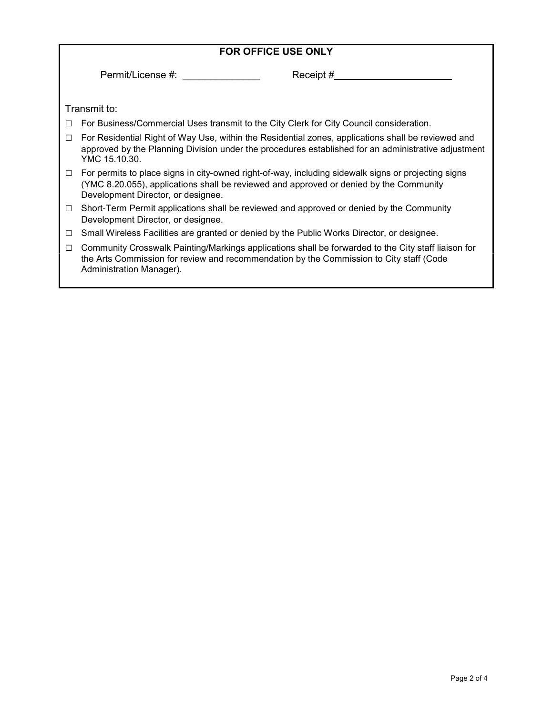| <b>FOR OFFICE USE ONLY</b> |                                                                                                                                                                                                                                     |  |  |
|----------------------------|-------------------------------------------------------------------------------------------------------------------------------------------------------------------------------------------------------------------------------------|--|--|
|                            | Permit/License #:<br>Receipt $#$                                                                                                                                                                                                    |  |  |
|                            | Transmit to:                                                                                                                                                                                                                        |  |  |
| $\Box$                     | For Business/Commercial Uses transmit to the City Clerk for City Council consideration.                                                                                                                                             |  |  |
| □                          | For Residential Right of Way Use, within the Residential zones, applications shall be reviewed and<br>approved by the Planning Division under the procedures established for an administrative adjustment<br>YMC 15.10.30.          |  |  |
| $\Box$                     | For permits to place signs in city-owned right-of-way, including sidewalk signs or projecting signs<br>(YMC 8.20.055), applications shall be reviewed and approved or denied by the Community<br>Development Director, or designee. |  |  |
| $\Box$                     | Short-Term Permit applications shall be reviewed and approved or denied by the Community<br>Development Director, or designee.                                                                                                      |  |  |
| □                          | Small Wireless Facilities are granted or denied by the Public Works Director, or designee.                                                                                                                                          |  |  |
| $\Box$                     | Community Crosswalk Painting/Markings applications shall be forwarded to the City staff liaison for<br>the Arts Commission for review and recommendation by the Commission to City staff (Code<br>Administration Manager).          |  |  |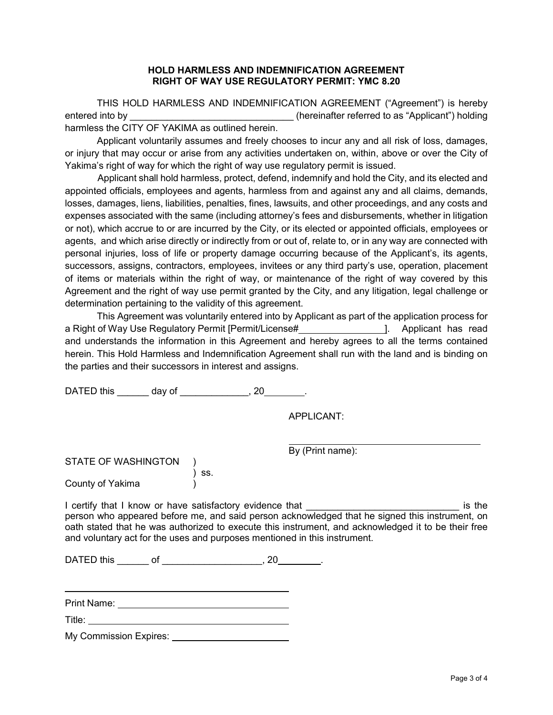#### **HOLD HARMLESS AND INDEMNIFICATION AGREEMENT RIGHT OF WAY USE REGULATORY PERMIT: YMC 8.20**

THIS HOLD HARMLESS AND INDEMNIFICATION AGREEMENT ("Agreement") is hereby entered into by **Exercise 2.1** (hereinafter referred to as "Applicant") holding harmless the CITY OF YAKIMA as outlined herein.

Applicant voluntarily assumes and freely chooses to incur any and all risk of loss, damages, or injury that may occur or arise from any activities undertaken on, within, above or over the City of Yakima's right of way for which the right of way use regulatory permit is issued.

Applicant shall hold harmless, protect, defend, indemnify and hold the City, and its elected and appointed officials, employees and agents, harmless from and against any and all claims, demands, losses, damages, liens, liabilities, penalties, fines, lawsuits, and other proceedings, and any costs and expenses associated with the same (including attorney's fees and disbursements, whether in litigation or not), which accrue to or are incurred by the City, or its elected or appointed officials, employees or agents, and which arise directly or indirectly from or out of, relate to, or in any way are connected with personal injuries, loss of life or property damage occurring because of the Applicant's, its agents, successors, assigns, contractors, employees, invitees or any third party's use, operation, placement of items or materials within the right of way, or maintenance of the right of way covered by this Agreement and the right of way use permit granted by the City, and any litigation, legal challenge or determination pertaining to the validity of this agreement.

This Agreement was voluntarily entered into by Applicant as part of the application process for a Right of Way Use Regulatory Permit [Permit/License# ]. Applicant has read and understands the information in this Agreement and hereby agrees to all the terms contained herein. This Hold Harmless and Indemnification Agreement shall run with the land and is binding on the parties and their successors in interest and assigns.

DATED this \_\_\_\_\_\_\_ day of \_\_\_\_\_\_\_\_\_\_\_\_\_, 20\_\_\_\_\_\_\_.

APPLICANT:

By (Print name):

| <b>STATE OF WASHINGTON</b> |       |
|----------------------------|-------|
|                            | ) SS. |
| County of Yakima           |       |

I certify that I know or have satisfactory evidence that **Example 2** and the same is the person who appeared before me, and said person acknowledged that he signed this instrument, on oath stated that he was authorized to execute this instrument, and acknowledged it to be their free and voluntary act for the uses and purposes mentioned in this instrument.

DATED this \_\_\_\_\_\_\_ of \_\_\_\_\_\_\_\_\_\_\_\_\_\_\_\_\_\_\_\_\_, 20\_\_\_\_\_\_\_\_\_.

Print Name:

Title:

My Commission Expires: